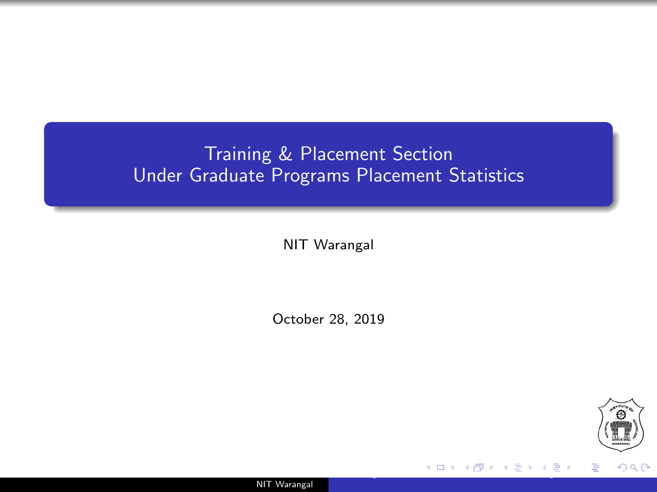## <span id="page-0-0"></span>Training & Placement Section Under Graduate Programs Placement Statistics

NIT Warangal

October 28, 2019



Training & Placement Section United Statistics Placement Statistics Placement Statistics

NIT Warangal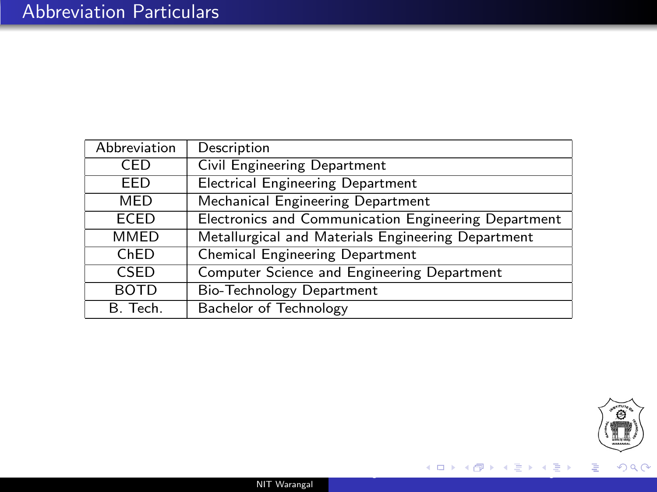<span id="page-1-0"></span>

| Abbreviation | Description                                          |
|--------------|------------------------------------------------------|
| CED          | Civil Engineering Department                         |
| EED          | <b>Electrical Engineering Department</b>             |
| MED          | Mechanical Engineering Department                    |
| <b>ECED</b>  | Electronics and Communication Engineering Department |
| <b>MMED</b>  | Metallurgical and Materials Engineering Department   |
| ChED         | <b>Chemical Engineering Department</b>               |
| <b>CSED</b>  | Computer Science and Engineering Department          |
| <b>BOTD</b>  | Bio-Technology Department                            |
| B. Tech.     | Bachelor of Technology                               |



[Training & Placement Section Under Graduate Programs Placement Statistics](#page-0-0)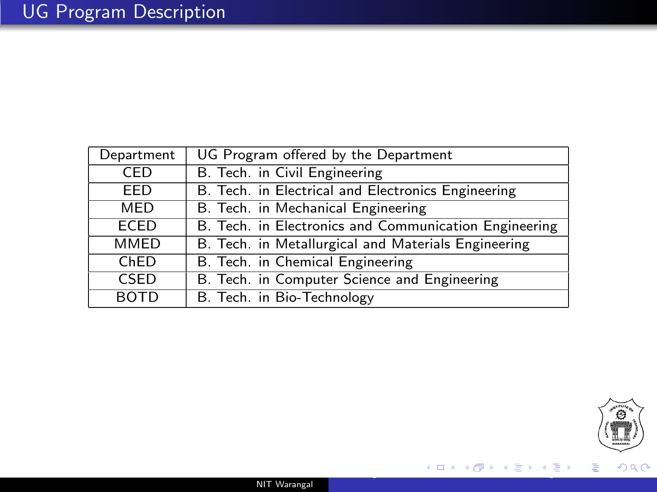<span id="page-2-0"></span>

| Department  | UG Program offered by the Department                  |  |  |  |  |  |
|-------------|-------------------------------------------------------|--|--|--|--|--|
| <b>CED</b>  | B. Tech. in Civil Engineering                         |  |  |  |  |  |
| EED         | B. Tech. in Electrical and Electronics Engineering    |  |  |  |  |  |
| <b>MED</b>  | B. Tech. in Mechanical Engineering                    |  |  |  |  |  |
| <b>ECED</b> | B. Tech. in Electronics and Communication Engineering |  |  |  |  |  |
| MMED        | B. Tech. in Metallurgical and Materials Engineering   |  |  |  |  |  |
| ChED        | B. Tech. in Chemical Engineering                      |  |  |  |  |  |
| <b>CSED</b> | B. Tech. in Computer Science and Engineering          |  |  |  |  |  |
| <b>BOTD</b> | B. Tech. in Bio-Technology                            |  |  |  |  |  |



[Training & Placement Section Under Graduate Programs Placement Statistics](#page-0-0)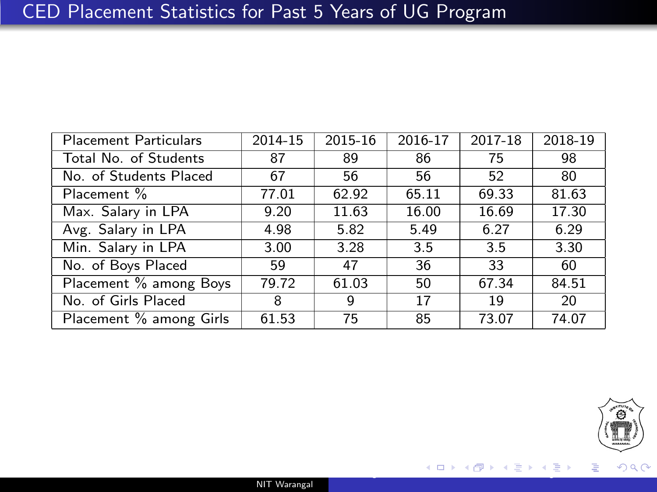<span id="page-3-0"></span>

| <b>Placement Particulars</b> | 2014-15 | 2015-16 | 2016-17 | 2017-18 | 2018-19 |
|------------------------------|---------|---------|---------|---------|---------|
| Total No. of Students        | 87      | 89      | 86      | 75      | 98      |
| No. of Students Placed       | 67      | 56      | 56      | 52      | 80      |
| Placement %                  | 77.01   | 62.92   | 65.11   | 69.33   | 81.63   |
| Max. Salary in LPA           | 9.20    | 11.63   | 16.00   | 16.69   | 17.30   |
| Avg. Salary in LPA           | 4.98    | 5.82    | 5.49    | 6.27    | 6.29    |
| Min. Salary in LPA           | 3.00    | 3.28    | 3.5     | 3.5     | 3.30    |
| No. of Boys Placed           | 59      | 47      | 36      | 33      | 60      |
| Placement % among Boys       | 79.72   | 61.03   | 50      | 67.34   | 84.51   |
| No. of Girls Placed          | 8       | q       | 17      | 19      | 20      |
| Placement % among Girls      | 61.53   | 75      | 85      | 73.07   | 74.07   |



[Training & Placement Section Under Graduate Programs Placement Statistics](#page-0-0)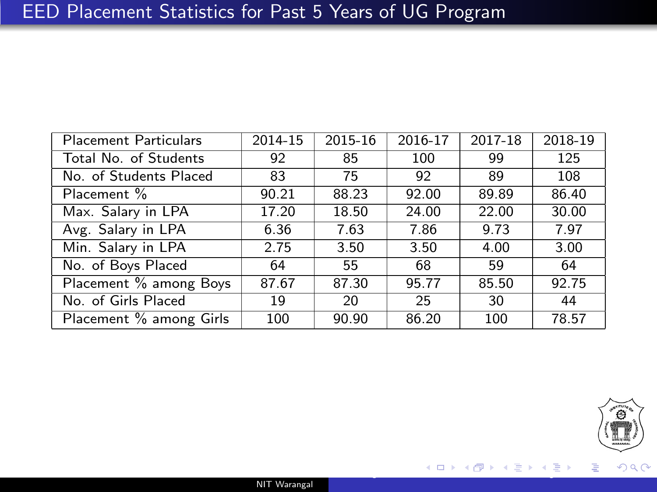<span id="page-4-0"></span>

| <b>Placement Particulars</b> | 2014-15 | 2015-16 | 2016-17 | 2017-18 | 2018-19 |
|------------------------------|---------|---------|---------|---------|---------|
| Total No. of Students        | 92      | 85      | 100     | 99      | 125     |
| No. of Students Placed       | 83      | 75      | 92      | 89      | 108     |
| Placement %                  | 90.21   | 88.23   | 92.00   | 89.89   | 86.40   |
| Max. Salary in LPA           | 17.20   | 18.50   | 24.00   | 22.00   | 30.00   |
| Avg. Salary in LPA           | 6.36    | 7.63    | 7.86    | 9.73    | 7.97    |
| Min. Salary in LPA           | 2.75    | 3.50    | 3.50    | 4.00    | 3.00    |
| No. of Boys Placed           | 64      | 55      | 68      | 59      | 64      |
| Placement % among Boys       | 87.67   | 87.30   | 95.77   | 85.50   | 92.75   |
| No. of Girls Placed          | 19      | 20      | 25      | 30      | 44      |
| Placement % among Girls      | 100     | 90.90   | 86.20   | 100     | 78.57   |

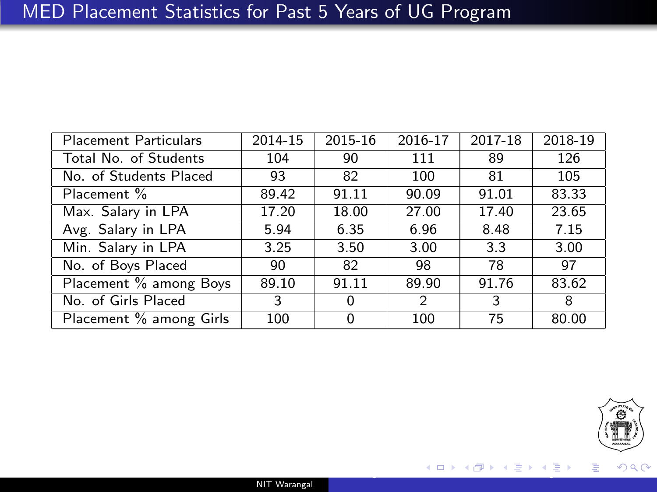<span id="page-5-0"></span>

| <b>Placement Particulars</b> | 2014-15 | 2015-16 | 2016-17 | 2017-18 | 2018-19 |
|------------------------------|---------|---------|---------|---------|---------|
| Total No. of Students        | 104     | 90      | 111     | 89      | 126     |
| No. of Students Placed       | 93      | 82      | 100     | 81      | 105     |
| Placement %                  | 89.42   | 91.11   | 90.09   | 91.01   | 83.33   |
| Max. Salary in LPA           | 17.20   | 18.00   | 27.00   | 17.40   | 23.65   |
| Avg. Salary in LPA           | 5.94    | 6.35    | 6.96    | 8.48    | 7.15    |
| Min. Salary in LPA           | 3.25    | 3.50    | 3.00    | 3.3     | 3.00    |
| No. of Boys Placed           | 90      | 82      | 98      | 78      | 97      |
| Placement % among Boys       | 89.10   | 91.11   | 89.90   | 91.76   | 83.62   |
| No. of Girls Placed          | 3       | 0       | 2       | 3       | 8       |
| Placement % among Girls      | 100     | 0       | 100     | 75      | 80.00   |

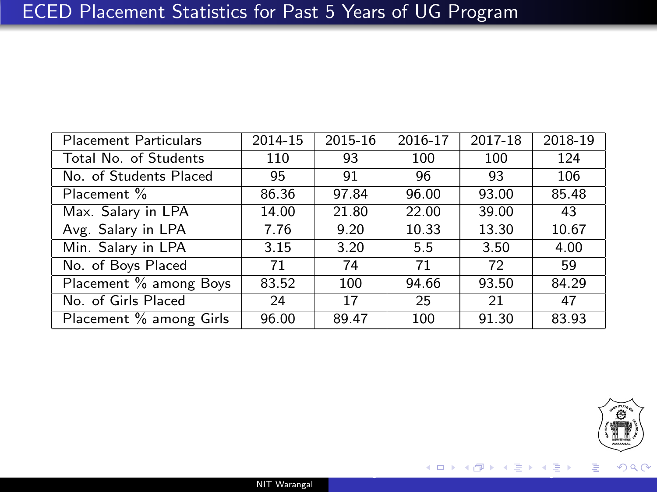<span id="page-6-0"></span>

| <b>Placement Particulars</b> | 2014-15 | 2015-16 | 2016-17 | 2017-18 | 2018-19 |
|------------------------------|---------|---------|---------|---------|---------|
| Total No. of Students        | 110     | 93      | 100     | 100     | 124     |
| No. of Students Placed       | 95      | 91      | 96      | 93      | 106     |
| Placement %                  | 86.36   | 97.84   | 96.00   | 93.00   | 85.48   |
| Max. Salary in LPA           | 14.00   | 21.80   | 22.00   | 39.00   | 43      |
| Avg. Salary in LPA           | 7.76    | 9.20    | 10.33   | 13.30   | 10.67   |
| Min. Salary in LPA           | 3.15    | 3.20    | 5.5     | 3.50    | 4.00    |
| No. of Boys Placed           | 71      | 74      | 71      | 72      | 59      |
| Placement % among Boys       | 83.52   | 100     | 94.66   | 93.50   | 84.29   |
| No. of Girls Placed          | 24      | 17      | 25      | 21      | 47      |
| Placement % among Girls      | 96.00   | 89.47   | 100     | 91.30   | 83.93   |

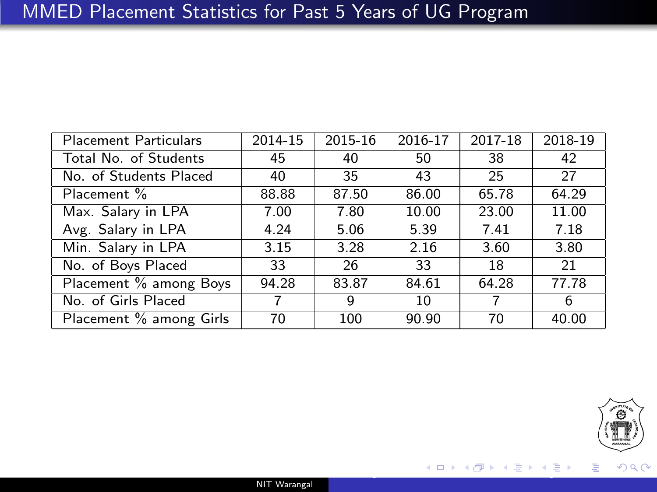<span id="page-7-0"></span>

| <b>Placement Particulars</b> | 2014-15 | 2015-16 | 2016-17 | 2017-18 | 2018-19 |
|------------------------------|---------|---------|---------|---------|---------|
| Total No. of Students        | 45      | 40      | 50      | 38      | 42      |
| No. of Students Placed       | 40      | 35      | 43      | 25      | 27      |
| Placement %                  | 88.88   | 87.50   | 86.00   | 65.78   | 64.29   |
| Max. Salary in LPA           | 7.00    | 7.80    | 10.00   | 23.00   | 11.00   |
| Avg. Salary in LPA           | 4.24    | 5.06    | 5.39    | 7.41    | 7.18    |
| Min. Salary in LPA           | 3.15    | 3.28    | 2.16    | 3.60    | 3.80    |
| No. of Boys Placed           | 33      | 26      | 33      | 18      | 21      |
| Placement % among Boys       | 94.28   | 83.87   | 84.61   | 64.28   | 77.78   |
| No. of Girls Placed          |         | 9       | 10      |         | 6       |
| Placement % among Girls      | 70      | 100     | 90.90   | 70      | 40.00   |

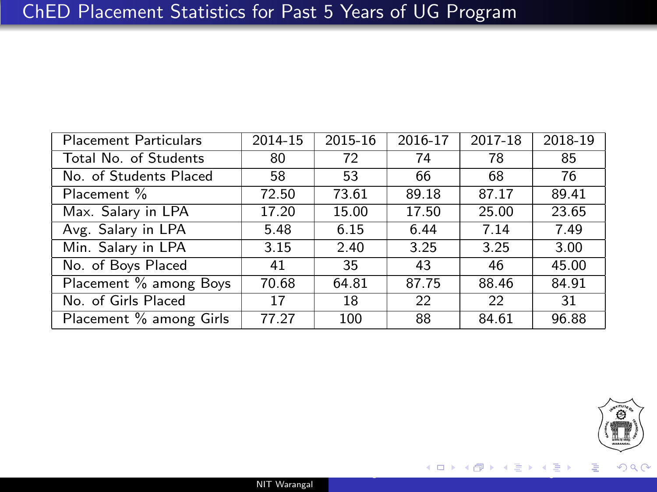<span id="page-8-0"></span>

| <b>Placement Particulars</b> | 2014-15 | 2015-16 | 2016-17 | 2017-18 | 2018-19 |
|------------------------------|---------|---------|---------|---------|---------|
| Total No. of Students        | 80      | 72      | 74      | 78      | 85      |
| No. of Students Placed       | 58      | 53      | 66      | 68      | 76      |
| Placement %                  | 72.50   | 73.61   | 89.18   | 87.17   | 89.41   |
| Max. Salary in LPA           | 17.20   | 15.00   | 17.50   | 25.00   | 23.65   |
| Avg. Salary in LPA           | 5.48    | 6.15    | 6.44    | 7.14    | 7.49    |
| Min. Salary in LPA           | 3.15    | 2.40    | 3.25    | 3.25    | 3.00    |
| No. of Boys Placed           | 41      | 35      | 43      | 46      | 45.00   |
| Placement % among Boys       | 70.68   | 64.81   | 87.75   | 88.46   | 84.91   |
| No. of Girls Placed          | 17      | 18      | 22      | 22      | 31      |
| Placement % among Girls      | 77.27   | 100     | 88      | 84.61   | 96.88   |

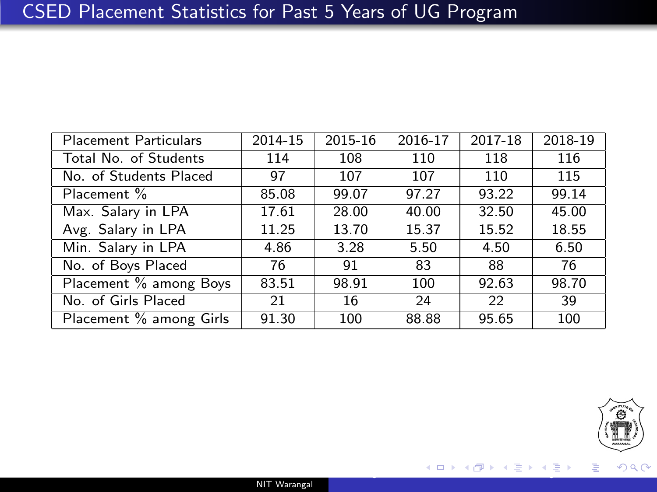<span id="page-9-0"></span>

| <b>Placement Particulars</b> | 2014-15 | 2015-16 | 2016-17 | 2017-18 | 2018-19 |
|------------------------------|---------|---------|---------|---------|---------|
| Total No. of Students        | 114     | 108     | 110     | 118     | 116     |
| No. of Students Placed       | 97      | 107     | 107     | 110     | 115     |
| Placement %                  | 85.08   | 99.07   | 97.27   | 93.22   | 99.14   |
| Max. Salary in LPA           | 17.61   | 28.00   | 40.00   | 32.50   | 45.00   |
| Avg. Salary in LPA           | 11.25   | 13.70   | 15.37   | 15.52   | 18.55   |
| Min. Salary in LPA           | 4.86    | 3.28    | 5.50    | 4.50    | 6.50    |
| No. of Boys Placed           | 76      | 91      | 83      | 88      | 76      |
| Placement % among Boys       | 83.51   | 98.91   | 100     | 92.63   | 98.70   |
| No. of Girls Placed          | 21      | 16      | 24      | 22      | 39      |
| Placement % among Girls      | 91.30   | 100     | 88.88   | 95.65   | 100     |

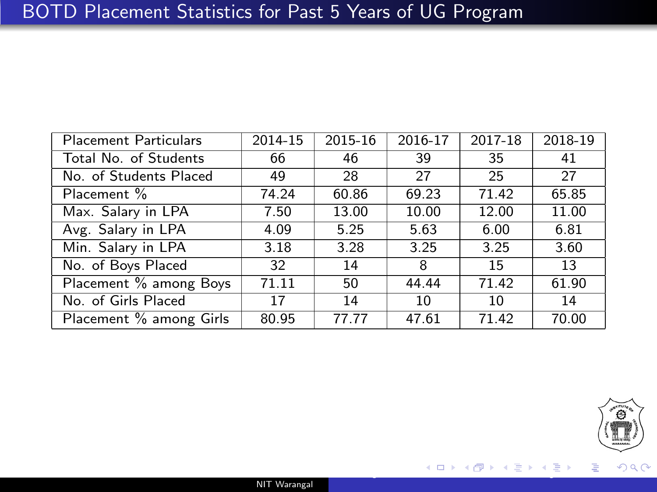<span id="page-10-0"></span>

| <b>Placement Particulars</b> | 2014-15 | 2015-16 | 2016-17 | 2017-18 | 2018-19 |
|------------------------------|---------|---------|---------|---------|---------|
| Total No. of Students        | 66      | 46      | 39      | 35      | 41      |
| No. of Students Placed       | 49      | 28      | 27      | 25      | 27      |
| Placement %                  | 74.24   | 60.86   | 69.23   | 71.42   | 65.85   |
| Max. Salary in LPA           | 7.50    | 13.00   | 10.00   | 12.00   | 11.00   |
| Avg. Salary in LPA           | 4.09    | 5.25    | 5.63    | 6.00    | 6.81    |
| Min. Salary in LPA           | 3.18    | 3.28    | 3.25    | 3.25    | 3.60    |
| No. of Boys Placed           | 32      | 14      | 8       | 15      | 13      |
| Placement % among Boys       | 71.11   | 50      | 44.44   | 71.42   | 61.90   |
| No. of Girls Placed          | 17      | 14      | 10      | 10      | 14      |
| Placement % among Girls      | 80.95   | 77.77   | 47.61   | 71.42   | 70.00   |

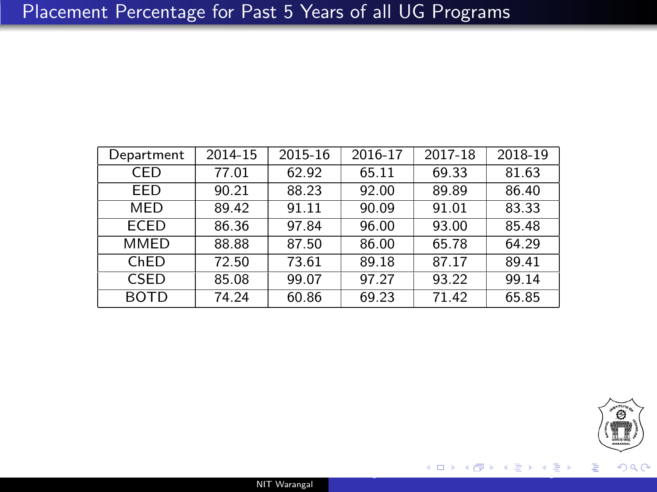## <span id="page-11-0"></span>Placement Percentage for Past 5 Years of all UG Programs

| Department  | 2014-15 | 2015-16 | 2016-17 | 2017-18 | 2018-19 |
|-------------|---------|---------|---------|---------|---------|
| <b>CED</b>  | 77.01   | 62.92   | 65.11   | 69.33   | 81.63   |
| EED         | 90.21   | 88.23   | 92.00   | 89.89   | 86.40   |
| <b>MED</b>  | 89.42   | 91.11   | 90.09   | 91.01   | 83.33   |
| <b>ECED</b> | 86.36   | 97.84   | 96.00   | 93.00   | 85.48   |
| <b>MMED</b> | 88.88   | 87.50   | 86.00   | 65.78   | 64.29   |
| ChED        | 72.50   | 73.61   | 89.18   | 87.17   | 89.41   |
| <b>CSED</b> | 85.08   | 99.07   | 97.27   | 93.22   | 99.14   |
| <b>BOTD</b> | 74.24   | 60.86   | 69.23   | 71.42   | 65.85   |

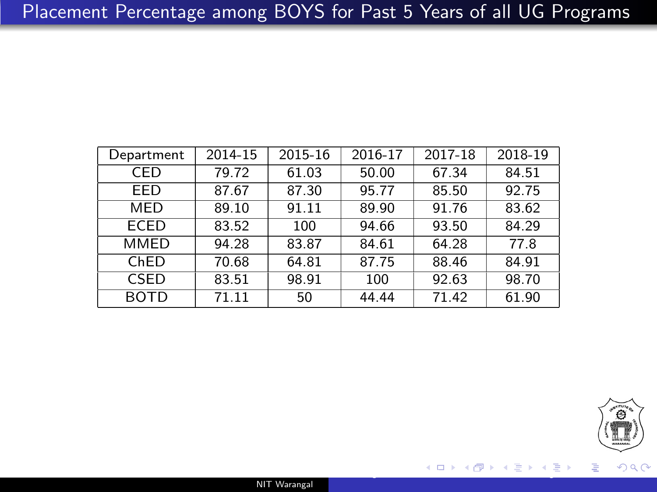<span id="page-12-0"></span>

| Department  | 2014-15 | 2015-16 | 2016-17 | 2017-18 | 2018-19 |
|-------------|---------|---------|---------|---------|---------|
| CED         | 79.72   | 61.03   | 50.00   | 67.34   | 84.51   |
| EED         | 87.67   | 87.30   | 95.77   | 85.50   | 92.75   |
| <b>MED</b>  | 89.10   | 91.11   | 89.90   | 91.76   | 83.62   |
| <b>ECED</b> | 83.52   | 100     | 94.66   | 93.50   | 84.29   |
| <b>MMED</b> | 94.28   | 83.87   | 84.61   | 64.28   | 77.8    |
| ChED        | 70.68   | 64.81   | 87.75   | 88.46   | 84.91   |
| <b>CSED</b> | 83.51   | 98.91   | 100     | 92.63   | 98.70   |
| <b>BOTD</b> | 71.11   | 50      | 44.44   | 71.42   | 61.90   |